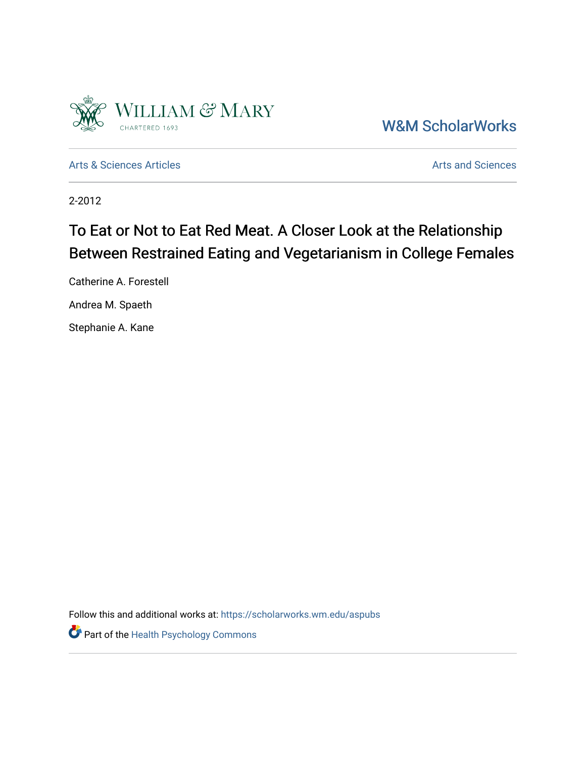

[W&M ScholarWorks](https://scholarworks.wm.edu/) 

[Arts & Sciences Articles](https://scholarworks.wm.edu/aspubs) **Articles** [Arts and Sciences](https://scholarworks.wm.edu/as) Articles Arts and Sciences Arts and Sciences

2-2012

# To Eat or Not to Eat Red Meat. A Closer Look at the Relationship Between Restrained Eating and Vegetarianism in College Females

Catherine A. Forestell

Andrea M. Spaeth

Stephanie A. Kane

Follow this and additional works at: [https://scholarworks.wm.edu/aspubs](https://scholarworks.wm.edu/aspubs?utm_source=scholarworks.wm.edu%2Faspubs%2F2049&utm_medium=PDF&utm_campaign=PDFCoverPages) 

Part of the [Health Psychology Commons](http://network.bepress.com/hgg/discipline/411?utm_source=scholarworks.wm.edu%2Faspubs%2F2049&utm_medium=PDF&utm_campaign=PDFCoverPages)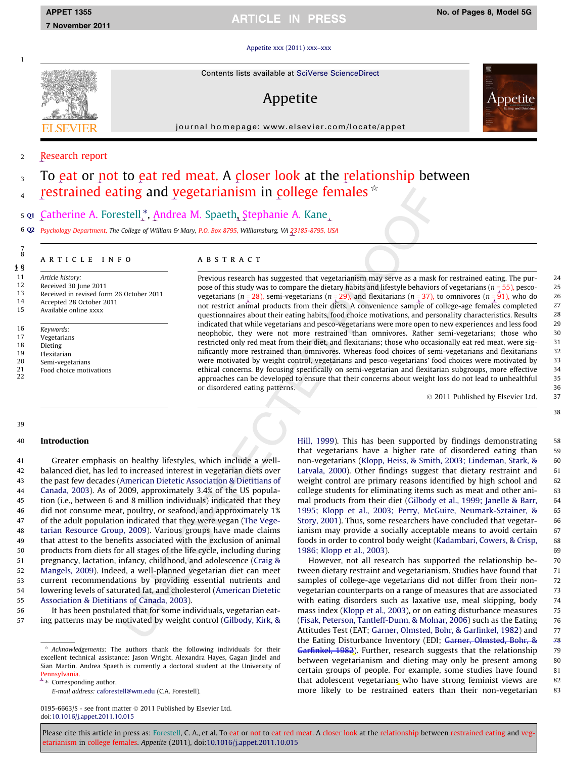APPET 1355 No. of Pages 8, Model 5G

Appetite

#### Appetite xxx (2011) xxx–xxx

Contents lists available at SciVerse ScienceDirect

# Appetite

journal homepage: www.elsevier.com/locate/appet

# **Research report**

# To eat or not to eat red meat. A closer look at the relationship between restrained eating and vegetarianism in college females  $\dot{\alpha}$

5 o1 Catherine A. Forestell \*, Andrea M. Spaeth, Stephanie A. Kane Q1

6 Psychology Department, The College of William & Mary, P.O. Box 8795, Williamsburg, VA 23185-8795, USA Q2

# article info

# 1 0 2 3

7 8

1

11 Article history:<br>12 Received 30 h

12 Received 30 June 2011<br>13 Received in revised for Received in revised form 26 October 2011

14 Accepted 28 October 2011<br>15 Available online xxxx Available online xxxx

- 
- 16 Keywords:<br>17 Vegetaria 17 Vegetarians
- 18 Dieting<br>19 Flexitar
- 19 Flexitarian
- 20 Semi-vegetarians<br>21 Eood choice motiv
- Food choice motivations  $\frac{1}{22}$

## ABSTRACT

Previous research has suggested that vegetarianism may serve as a mask for restrained eating. The pur- 24 pose of this study was to compare the dietary habits and lifestyle behaviors of vegetarians ( $n = 55$ ), pesco- $25$ vegetarians ( $n = 28$ ), semi-vegetarians ( $n = 29$ ), and flexitarians ( $n = 37$ ), to omnivores ( $n = 91$ ), who do 26 not restrict animal products from their diets. A convenience sample of college-age females completed 27 questionnaires about their eating habits, food choice motivations, and personality characteristics. Results 28 indicated that while vegetarians and pesco-vegetarians were more open to new experiences and less food 29 neophobic, they were not more restrained than omnivores. Rather semi-vegetarians; those who 30 restricted only red meat from their diet, and flexitarians; those who occasionally eat red meat, were sig- 31 nificantly more restrained than omnivores. Whereas food choices of semi-vegetarians and flexitarians 32 were motivated by weight control, vegetarians and pesco-vegetarians' food choices were motivated by 33 ethical concerns. By focusing specifically on semi-vegetarian and flexitarian subgroups, more effective 34 approaches can be developed to ensure that their concerns about weight loss do not lead to unhealthful 35 or disordered eating patterns. 36

- 2011 Published by Elsevier Ltd. 37

## 40 Introduction

39

 Greater emphasis on healthy lifestyles, which include a well- balanced diet, has led to increased interest in vegetarian diets over the past few decades (American Dietetic Association & Dietitians of Canada, 2003). As of 2009, approximately 3.4% of the US popula- tion (i.e., between 6 and 8 million individuals) indicated that they did not consume meat, poultry, or seafood, and approximately 1% of the adult population indicated that they were vegan (The Vege- tarian Resource Group, 2009). Various groups have made claims that attest to the benefits associated with the exclusion of animal products from diets for all stages of the life cycle, including during pregnancy, lactation, infancy, childhood, and adolescence (Craig & Mangels, 2009). Indeed, a well-planned vegetarian diet can meet current recommendations by providing essential nutrients and lowering levels of saturated fat, and cholesterol (American Dietetic Association & Dietitians of Canada, 2003).

56 It has been postulated that for some individuals, vegetarian eat-57 ing patterns may be motivated by weight control (Gilbody, Kirk, &

\* Corresponding author.

E-mail address: caforestell@wm.edu (C.A. Forestell).

0195-6663/\$ - see front matter  $\odot$  2011 Published by Elsevier Ltd. doi:10.1016/j.appet.2011.10.015

Hill, 1999). This has been supported by findings demonstrating 58 that vegetarians have a higher rate of disordered eating than 59 non-vegetarians (Klopp, Heiss, & Smith, 2003; Lindeman, Stark, & 60 Latvala, 2000). Other findings suggest that dietary restraint and 61 weight control are primary reasons identified by high school and 62 college students for eliminating items such as meat and other ani- 63 mal products from their diet (Gilbody et al., 1999; Janelle & Barr, 64 1995; Klopp et al., 2003; Perry, McGuire, Neumark-Sztainer, & 65 Story, 2001). Thus, some researchers have concluded that vegetar- 66 ianism may provide a socially acceptable means to avoid certain 67 foods in order to control body weight (Kadambari, Cowers, & Crisp, 68 1986; Klopp et al., 2003). 69

However, not all research has supported the relationship be-<br>
70 tween dietary restraint and vegetarianism. Studies have found that 71 samples of college-age vegetarians did not differ from their non-<br>
72 vegetarian counterparts on a range of measures that are associated 73 with eating disorders such as laxative use, meal skipping, body 74 mass index (Klopp et al., 2003), or on eating disturbance measures 75 (Fisak, Peterson, Tantleff-Dunn, & Molnar, 2006) such as the Eating 76 Attitudes Test (EAT; Garner, Olmsted, Bohr, & Garfinkel, 1982) and 77 the Eating Disturbance Inventory (EDI; Garner, Olmsted, Bohr, & 78 Garfinkel, 1982). Further, research suggests that the relationship 79 between vegetarianism and dieting may only be present among 80 certain groups of people. For example, some studies have found 81 that adolescent vegetarians who have strong feminist views are 82 more likely to be restrained eaters than their non-vegetarian 83

 $*$  Acknowledgements: The authors thank the following individuals for their excellent technical assistance: Jason Wright, Alexandra Hayes, Gagan Jindel and Sian Martin. Andrea Spaeth is currently a doctoral student at the University of Pennsylvania.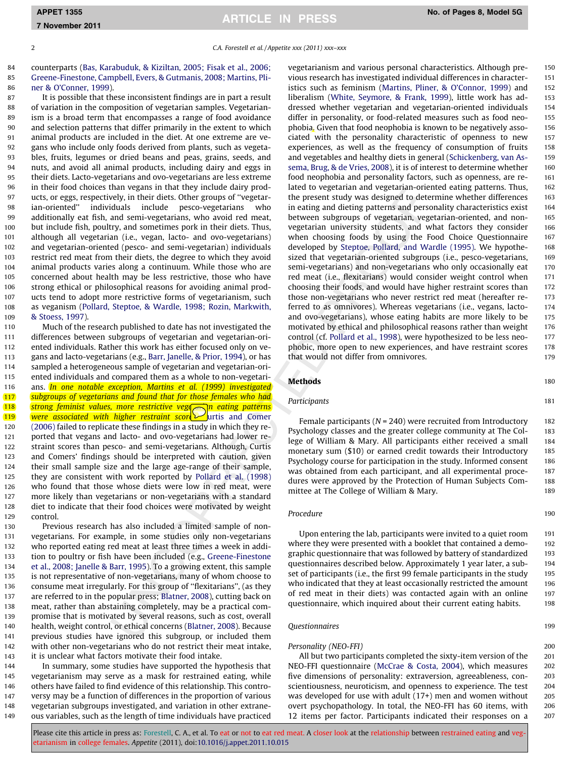7 November 2011

2 C.A. Forestell et al. / Appetite xxx (2011) xxx–xxx

84 counterparts (Bas, Karabuduk, & Kiziltan, 2005; Fisak et al., 2006; 85 Greene-Finestone, Campbell, Evers, & Gutmanis, 2008; Martins, Pli-86 ner & O'Conner, 1999).

 It is possible that these inconsistent findings are in part a result of variation in the composition of vegetarian samples. Vegetarian- ism is a broad term that encompasses a range of food avoidance and selection patterns that differ primarily in the extent to which animal products are included in the diet. At one extreme are ve- gans who include only foods derived from plants, such as vegeta- bles, fruits, legumes or dried beans and peas, grains, seeds, and nuts, and avoid all animal products, including dairy and eggs in their diets. Lacto-vegetarians and ovo-vegetarians are less extreme in their food choices than vegans in that they include dairy prod- ucts, or eggs, respectively, in their diets. Other groups of ''vegetar- ian-oriented'' individuals include pesco-vegetarians who additionally eat fish, and semi-vegetarians, who avoid red meat, but include fish, poultry, and sometimes pork in their diets. Thus, although all vegetarian (i.e., vegan, lacto- and ovo-vegetarians) and vegetarian-oriented (pesco- and semi-vegetarian) individuals restrict red meat from their diets, the degree to which they avoid animal products varies along a continuum. While those who are concerned about health may be less restrictive, those who have strong ethical or philosophical reasons for avoiding animal prod- ucts tend to adopt more restrictive forms of vegetarianism, such as veganism (Pollard, Steptoe, & Wardle, 1998; Rozin, Markwith, & Stoess, 1997).

 Much of the research published to date has not investigated the differences between subgroups of vegetarian and vegetarian-ori- ented individuals. Rather this work has either focused only on ve- gans and lacto-vegetarians (e.g., Barr, Janelle, & Prior, 1994), or has sampled a heterogeneous sample of vegetarian and vegetarian-ori- ented individuals and compared them as a whole to non-vegetari-116 ans. *In one notable exception, Martins et al. (1999) investigated* **Subgroups of vegetarians and found that for those females who had** 118 strong feminist values, more restrictive vegenting eating patterns were associated with higher restraint score urtis and Comer السلط 119 (2006) failed to replicate these findings in a study in which they re- ported that vegans and lacto- and ovo-vegetarians had lower re- straint scores than pesco- and semi-vegetarians. Although, Curtis and Comers' findings should be interpreted with caution, given their small sample size and the large age-range of their sample, they are consistent with work reported by Pollard et al. (1998) who found that those whose diets were low in red meat, were more likely than vegetarians or non-vegetarians with a standard diet to indicate that their food choices were motivated by weight 129 control.

 Previous research has also included a limited sample of non- vegetarians. For example, in some studies only non-vegetarians who reported eating red meat at least three times a week in addi- tion to poultry or fish have been included (e.g., Greene-Finestone et al., 2008; Janelle & Barr, 1995). To a growing extent, this sample is not representative of non-vegetarians, many of whom choose to consume meat irregularly. For this group of ''flexitarians'', (as they are referred to in the popular press; Blatner, 2008), cutting back on meat, rather than abstaining completely, may be a practical com- promise that is motivated by several reasons, such as cost, overall health, weight control, or ethical concerns (Blatner, 2008). Because previous studies have ignored this subgroup, or included them with other non-vegetarians who do not restrict their meat intake, it is unclear what factors motivate their food intake.

 In summary, some studies have supported the hypothesis that vegetarianism may serve as a mask for restrained eating, while others have failed to find evidence of this relationship. This contro- versy may be a function of differences in the proportion of various vegetarian subgroups investigated, and variation in other extrane-ous variables, such as the length of time individuals have practiced

vegetarianism and various personal characteristics. Although pre- 150 vious research has investigated individual differences in character- 151 istics such as feminism (Martins, Pliner, & O'Connor, 1999) and 152 liberalism (White, Seymore, & Frank, 1999), little work has ad- 153 dressed whether vegetarian and vegetarian-oriented individuals 154 differ in personality, or food-related measures such as food neo-<br>155 phobia. Given that food neophobia is known to be negatively asso- 156 ciated with the personality characteristic of openness to new 157 experiences, as well as the frequency of consumption of fruits 158 and vegetables and healthy diets in general (Schickenberg, van As- 159 sema, Brug, & de Vries, 2008), it is of interest to determine whether 160 food neophobia and personality factors, such as openness, are re- 161 lated to vegetarian and vegetarian-oriented eating patterns. Thus, 162 the present study was designed to determine whether differences 163 in eating and dieting patterns and personality characteristics exist 164 between subgroups of vegetarian, vegetarian-oriented, and non- 165 vegetarian university students, and what factors they consider 166 when choosing foods by using the Food Choice Questionnaire 167 developed by Steptoe, Pollard, and Wardle (1995). We hypothe- 168 sized that vegetarian-oriented subgroups (i.e., pesco-vegetarians, 169 semi-vegetarians) and non-vegetarians who only occasionally eat 170 red meat (i.e., flexitarians) would consider weight control when 171 choosing their foods, and would have higher restraint scores than 172 those non-vegetarians who never restrict red meat (hereafter re- 173 ferred to as omnivores). Whereas vegetarians (i.e., vegans, lacto- 174 and ovo-vegetarians), whose eating habits are more likely to be 175 motivated by ethical and philosophical reasons rather than weight 176 control (cf. Pollard et al., 1998), were hypothesized to be less neo- 177 phobic, more open to new experiences, and have restraint scores 178 that would not differ from omnivores. The same state of the state of the state of the state of the state of the state of the state of the state of the state of the state of the state of the state of the state of the state

# Methods and the set of the set of the set of the set of the set of the set of the set of the set of the set of the set of the set of the set of the set of the set of the set of the set of the set of the set of the set of t

# Participants 181

Female participants ( $N = 240$ ) were recruited from Introductory 182 Psychology classes and the greater college community at The Col- 183 lege of William & Mary. All participants either received a small 184 monetary sum (\$10) or earned credit towards their Introductory 185 Psychology course for participation in the study. Informed consent 186 was obtained from each participant, and all experimental proce- 187 dures were approved by the Protection of Human Subjects Com- 188 mittee at The College of William & Mary. The matter of the college of William & Mary.

#### Procedure the contract of the contract of the contract of the contract of the contract of the contract of the contract of the contract of the contract of the contract of the contract of the contract of the contract of the

Upon entering the lab, participants were invited to a quiet room 191 where they were presented with a booklet that contained a demo- 192 graphic questionnaire that was followed by battery of standardized 193 questionnaires described below. Approximately 1 year later, a sub- 194 set of participants (i.e., the first 99 female participants in the study 195 who indicated that they at least occasionally restricted the amount 196 of red meat in their diets) was contacted again with an online 197 questionnaire, which inquired about their current eating habits. 198

### Questionnaires 199

# Personality (NEO-FFI) 200

All but two participants completed the sixty-item version of the 201 NEO-FFI questionnaire (McCrae & Costa, 2004), which measures 202 five dimensions of personality: extraversion, agreeableness, con- 203 scientiousness, neuroticism, and openness to experience. The test 204 was developed for use with adult  $(17+)$  men and women without 205 overt psychopathology. In total, the NEO-FFI has 60 items, with 206 12 items per factor. Participants indicated their responses on a 207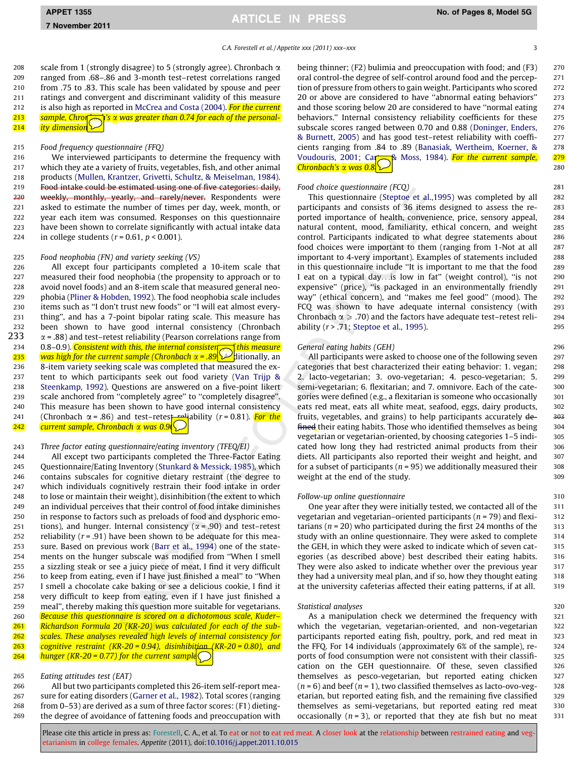208 scale from 1 (strongly disagree) to 5 (strongly agree). Chronbach  $\alpha$ 209 ranged from .68–.86 and 3-month test–retest correlations ranged 210 from .75 to .83. This scale has been validated by spouse and peer 211 ratings and convergent and discriminant validity of this measure 212 is also high as reported in McCrea and Costa (2004). For the current  $\frac{213}{213}$  sample, Chron $\sim$ 's a was greater than 0.74 for each of the personal-<mark>214</mark> ity dimension<mark>[</mark> )

# 215 Food frequency questionnaire (FFQ)

 We interviewed participants to determine the frequency with which they ate a variety of fruits, vegetables, fish, and other animal products (Mullen, Krantzer, Grivetti, Schultz, & Meiselman, 1984). 219 Food intake could be estimated using one of five categories: daily, 220 weekly, monthly, yearly, and rarely/never. Respondents were asked to estimate the number of times per day, week, month, or year each item was consumed. Responses on this questionnaire have been shown to correlate significantly with actual intake data 224 in college students ( $r = 0.61$ ,  $p < 0.001$ ).

# 225 Food neophobia (FN) and variety seeking (VS)

 All except four participants completed a 10-item scale that measured their food neophobia (the propensity to approach or to avoid novel foods) and an 8-item scale that measured general neo- phobia (Pliner & Hobden, 1992). The food neophobia scale includes items such as ''I don't trust new foods'' or ''I will eat almost every- thing'', and has a 7-point bipolar rating scale. This measure has been shown to have good internal consistency (Chronbach  $\alpha$  = .88) and test–retest reliability (Pearson correlations range from 234 0.8–0.9). Consistent with this, the internal consisten<sup>t</sup> of this measure  $\frac{235}{\sqrt{235}}$  was high for the current sample (Chronbach  $\alpha$  = .89  $\sim$  ditionally, an 8-item variety seeking scale was completed that measured the ex- tent to which participants seek out food variety (Van Trijp & Steenkamp, 1992). Questions are answered on a five-point likert scale anchored from ''completely agree'' to ''completely disagree''. This measure has been shown to have good internal consistency 241 (Chronbach  $\alpha$  = .86) and test–retes<del>t reli</del>ability (*r* = 0.81). <mark>For the</mark> **Current sample, Chronbach α was 0.9(**)

243 Three factor eating questionnaire/eating inventory (TFEQ/EI)

 All except two participants completed the Three-Factor Eating Questionnaire/Eating Inventory (Stunkard & Messick, 1985), which contains subscales for cognitive dietary restraint (the degree to which individuals cognitively restrain their food intake in order to lose or maintain their weight), disinhibition (the extent to which an individual perceives that their control of food intake diminishes in response to factors such as preloads of food and dysphoric emo-251 tions), and hunger. Internal consistency ( $\alpha$  = .90) and test–retest 252 reliability  $(r = .91)$  have been shown to be adequate for this mea- sure. Based on previous work (Barr et al., 1994) one of the state- ments on the hunger subscale was modified from ''When I smell a sizzling steak or see a juicy piece of meat, I find it very difficult to keep from eating, even if I have just finished a meal'' to ''When I smell a chocolate cake baking or see a delicious cookie, I find it very difficult to keep from eating, even if I have just finished a meal'', thereby making this question more suitable for vegetarians. 260 Because this questionnaire is scored on a dichotomous scale, Kuder-261 Richardson Formula 20 (KR-20) was calculated for each of the sub-262 scales. These analyses revealed high levels of internal consistency for cognitive restraint (KR-20 = 0.94), disinhibition (KR-20 = 0.80), and 264 hunger (KR-20 = 0.77) for the current sample

265 Eating attitudes test (EAT)

 All but two participants completed this 26-item self-report mea- sure for eating disorders (Garner et al., 1982). Total scores (ranging from 0–53) are derived as a sum of three factor scores: (F1) dieting-the degree of avoidance of fattening foods and preoccupation with

being thinner; (F2) bulimia and preoccupation with food; and (F3) 270 oral control-the degree of self-control around food and the percep- 271 tion of pressure from others to gain weight. Participants who scored 272 20 or above are considered to have "abnormal eating behaviors" 273 and those scoring below 20 are considered to have "normal eating 274 behaviors." Internal consistency reliability coefficients for these 275 subscale scores ranged between 0.70 and 0.88 (Doninger, Enders, 276 & Burnett, 2005) and has good test–retest reliability with coeffi- 277 cients ranging from .84 to .89 (Banasiak, Wertheim, Koerner, & 278 Voudouris, 2001; Carter & Moss, 1984). For the current sample,  $279$ Chronbach's  $\alpha$  was  $0.8$   $\sim$  280

# Food choice questionnaire (FCQ) 281

This questionnaire (Steptoe et al.,1995) was completed by all 282 participants and consists of 36 items designed to assess the re- 283 ported importance of health, convenience, price, sensory appeal, 284 natural content, mood, familiarity, ethical concern, and weight 285 control. Participants indicated to what degree statements about 286 food choices were important to them (ranging from 1-Not at all 287 important to 4-very important). Examples of statements included 288 in this questionnaire include ''It is important to me that the food 289 I eat on a typical day...is low in fat" (weight control), "is not 290 expensive" (price), "is packaged in an environmentally friendly 291 way'' (ethical concern), and ''makes me feel good'' (mood). The 292 FCQ was shown to have adequate internal consistency (with 293 Chronbach  $\alpha \geq 0.70$  and the factors have adequate test–retest reli- 294 ability (r > .71; Steptoe et al., 1995). 295

### General eating habits (GEH) 296

All participants were asked to choose one of the following seven 297 categories that best characterized their eating behavior: 1. vegan; 298 2. lacto-vegetarian; 3. ovo-vegetarian; 4. pesco-vegetarian; 5. 299 semi-vegetarian; 6. flexitarian; and 7. omnivore. Each of the cate- 300 gories were defined (e.g., a flexitarian is someone who occasionally 301 eats red meat, eats all white meat, seafood, eggs, dairy products, 302 fruits, vegetables, and grains) to help participants accurately de- 303 fined their eating habits. Those who identified themselves as being 304 vegetarian or vegetarian-oriented, by choosing categories 1–5 indi- 305 cated how long they had restricted animal products from their 306 diets. All participants also reported their weight and height, and 307 for a subset of participants ( $n = 95$ ) we additionally measured their 308 weight at the end of the study. 309

### Follow-up online questionnaire 310

One year after they were initially tested, we contacted all of the 311 vegetarian and vegetarian–oriented participants ( $n = 79$ ) and flexi-<br>312 tarians ( $n = 20$ ) who participated during the first 24 months of the 313 study with an online questionnaire. They were asked to complete 314 the GEH, in which they were asked to indicate which of seven cat- 315 egories (as described above) best described their eating habits. 316 They were also asked to indicate whether over the previous year 317 they had a university meal plan, and if so, how they thought eating 318 at the university cafeterias affected their eating patterns, if at all. 319

### Statistical analyses 320

As a manipulation check we determined the frequency with 321 which the vegetarian, vegetarian-oriented, and non-vegetarian 322 participants reported eating fish, poultry, pork, and red meat in 323 the FFQ. For 14 individuals (approximately 6% of the sample), re- 324 ports of food consumption were not consistent with their classifi- 325 cation on the GEH questionnaire. Of these, seven classified 326 themselves as pesco-vegetarian, but reported eating chicken 327  $(n = 6)$  and beef  $(n = 1)$ , two classified themselves as lacto-ovo-veg- 328 etarian, but reported eating fish, and the remaining five classified 329 themselves as semi-vegetarians, but reported eating red meat 330 occasionally  $(n = 3)$ , or reported that they ate fish but no meat 331



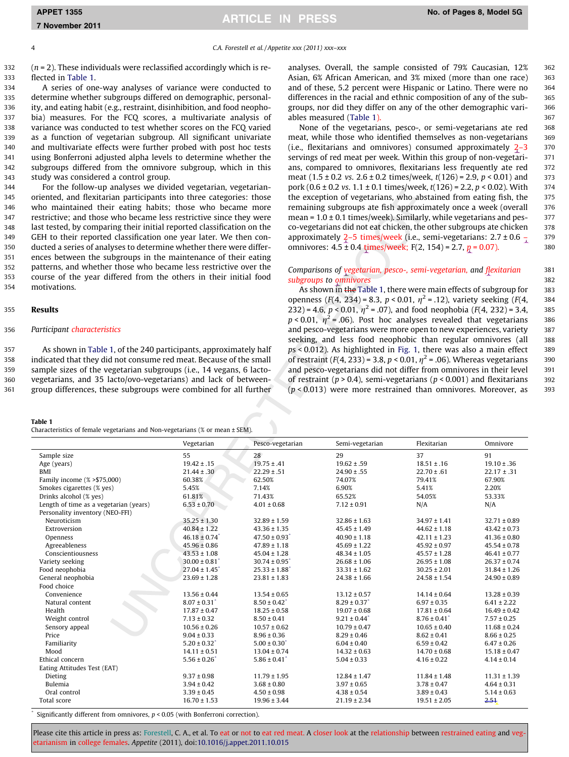7 November 2011

4 C.A. Forestell et al. / Appetite xxx (2011) xxx–xxx

332  $(n = 2)$ . These individuals were reclassified accordingly which is re-333 flected in Table 1.

 A series of one-way analyses of variance were conducted to determine whether subgroups differed on demographic, personal- ity, and eating habit (e.g., restraint, disinhibition, and food neopho- bia) measures. For the FCQ scores, a multivariate analysis of variance was conducted to test whether scores on the FCQ varied as a function of vegetarian subgroup. All significant univariate and multivariate effects were further probed with post hoc tests using Bonferroni adjusted alpha levels to determine whether the subgroups differed from the omnivore subgroup, which in this study was considered a control group.

 For the follow-up analyses we divided vegetarian, vegetarian- oriented, and flexitarian participants into three categories: those who maintained their eating habits; those who became more restrictive; and those who became less restrictive since they were last tested, by comparing their initial reported classification on the GEH to their reported classification one year later. We then con- ducted a series of analyses to determine whether there were differ- ences between the subgroups in the maintenance of their eating patterns, and whether those who became less restrictive over the course of the year differed from the others in their initial food motivations.

# 355 Results

#### 356 Participant characteristics

 As shown in Table 1, of the 240 participants, approximately half indicated that they did not consume red meat. Because of the small sample sizes of the vegetarian subgroups (i.e., 14 vegans, 6 lacto- vegetarians, and 35 lacto/ovo-vegetarians) and lack of between-group differences, these subgroups were combined for all further

#### Table 1

Characteristics of female vegetarians and Non-vegetarians (% or mean ± SEM).

analyses. Overall, the sample consisted of 79% Caucasian, 12% 362 Asian, 6% African American, and 3% mixed (more than one race) 363 and of these, 5.2 percent were Hispanic or Latino. There were no 364 differences in the racial and ethnic composition of any of the sub-<br>365 groups, nor did they differ on any of the other demographic vari- 366 ables measured (Table 1). 367

None of the vegetarians, pesco-, or semi-vegetarians ate red 368 meat, while those who identified themselves as non-vegetarians 369 (i.e., flexitarians and omnivores) consumed approximately  $2-3$  370 servings of red meat per week. Within this group of non-vegetari-<br>371 ans, compared to omnivores, flexitarians less frequently ate red 372 meat  $(1.5 \pm 0.2 \text{ vs. } 2.6 \pm 0.2 \text{ times/week}, t(126) = 2.9, p < 0.01)$  and 373 pork (0.6  $\pm$  0.2 vs. 1.1  $\pm$  0.1 times/week, t(126) = 2.2, p < 0.02). With 374 the exception of vegetarians, who abstained from eating fish, the 375 remaining subgroups ate fish approximately once a week (overall 376 mean =  $1.0 \pm 0.1$  times/week). Similarly, while vegetarians and pes- 377 co-vegetarians did not eat chicken, the other subgroups ate chicken 378 approximately 2–5 times/week (i.e., semi-vegetarians:  $2.7 \pm 0.6$  – 379 omnivores:  $4.5 \pm 0.4$  times/week; F(2, 154) = 2.7,  $p = 0.07$ ). 380

# Comparisons of vegetarian, pesco-, semi-vegetarian, and flexitarian 381 subgroups to omnivores and the state of the state of the state of the state of the state of the state of the state of the state of the state of the state of the state of the state of the state of the state of the state of

As shown in the Table 1, there were main effects of subgroup for 383 openness (F(4, 234) = 8.3, p < 0.01,  $\eta^2$  = .12), variety seeking (F(4, 384) 232) = 4.6,  $p < 0.01$ ,  $\eta^2$  = .07), and food neophobia (F(4, 232) = 3.4, 385  $p < 0.01$ ,  $\eta^2 = .06$ ). Post hoc analyses revealed that vegetarians 386 and pesco-vegetarians were more open to new experiences, variety 387 seeking, and less food neophobic than regular omnivores (all 388 ps < 0.012). As highlighted in Fig. 1, there was also a main effect 389 of restraint  $(F(4, 233) = 3.8, p < 0.01, \eta^2 = .06)$ . Whereas vegetarians 390 and pesco-vegetarians did not differ from omnivores in their level 391 of restraint ( $p > 0.4$ ), semi-vegetarians ( $p < 0.001$ ) and flexitarians 392  $(p < 0.013)$  were more restrained than omnivores. Moreover, as 393

| $m$ accepts to remare regermans and ron-regermans (% or mean $\pm$ 5 cm $\mu$ | Vegetarian                    | Pesco-vegetarian              | Semi-vegetarian              | Flexitarian                  | Omnivore         |
|-------------------------------------------------------------------------------|-------------------------------|-------------------------------|------------------------------|------------------------------|------------------|
|                                                                               |                               |                               |                              |                              |                  |
| Sample size                                                                   | 55                            | 28                            | 29                           | 37                           | 91               |
| Age (years)                                                                   | $19.42 \pm .15$               | $19.75 \pm .41$               | $19.62 \pm .59$              | $18.51 \pm .16$              | $19.10 \pm .36$  |
| BMI                                                                           | $21.44 \pm .30$               | $22.29 \pm .51$               | $24.90 \pm .55$              | $22.70 \pm .61$              | $22.17 \pm .31$  |
| Family income (% > \$75,000)                                                  | 60.38%                        | 62.50%                        | 74.07%                       | 79.41%                       | 67.90%           |
| Smokes cigarettes (% yes)                                                     | 5.45%                         | 7.14%                         | 6.90%                        | 5.41%                        | 2.20%            |
| Drinks alcohol (% yes)                                                        | 61.81%                        | 71.43%                        | 65.52%                       | 54.05%                       | 53.33%           |
| Length of time as a vegetarian (years)                                        | $6.53 \pm 0.70$               | $4.01 \pm 0.68$               | $7.12 \pm 0.91$              | N/A                          | N/A              |
| Personality inventory (NEO-FFI)                                               |                               |                               |                              |                              |                  |
| Neuroticism                                                                   | $35.25 \pm 1.30$              | $32.89 \pm 1.59$              | $32.86 \pm 1.63$             | $34.97 \pm 1.41$             | $32.71 \pm 0.89$ |
| Extroversion                                                                  | $40.84 \pm 1.22$              | $43.36 \pm 1.35$              | $45.45 \pm 1.49$             | $44.62 \pm 1.18$             | $43.42 \pm 0.73$ |
| Openness                                                                      | $46.18 \pm 0.74$ <sup>*</sup> | $47.50 \pm 0.93$ <sup>*</sup> | $40.90 \pm 1.18$             | $42.11 \pm 1.23$             | $41.36 \pm 0.80$ |
| Agreeableness                                                                 | $45.96 \pm 0.86$              | $47.89 \pm 1.18$              | $45.69 \pm 1.22$             | $45.92 \pm 0.97$             | $45.54 \pm 0.78$ |
| Conscientiousness                                                             | $43.53 \pm 1.08$              | $45.04 \pm 1.28$              | $48.34 \pm 1.05$             | $45.57 \pm 1.28$             | $46.41 \pm 0.77$ |
| Variety seeking                                                               | $30.00 \pm 0.81$ <sup>*</sup> | $30.74 \pm 0.95$ <sup>*</sup> | $26.68 \pm 1.06$             | $26.95 \pm 1.08$             | $26.37 \pm 0.74$ |
| Food neophobia                                                                | $27.04 \pm 1.45$ <sup>*</sup> | $25.33 \pm 1.88$ <sup>*</sup> | $33.31 \pm 1.62$             | $30.25 \pm 2.01$             | $31.84 \pm 1.26$ |
| General neophobia                                                             | $23.69 \pm 1.28$              | $23.81 \pm 1.83$              | $24.38 \pm 1.66$             | $24.58 \pm 1.54$             | $24.90 \pm 0.89$ |
| Food choice                                                                   |                               |                               |                              |                              |                  |
| Convenience                                                                   | $13.56 \pm 0.44$              | $13.54 \pm 0.65$              | $13.12 \pm 0.57$             | $14.14 \pm 0.64$             | $13.28 \pm 0.39$ |
| Natural content                                                               | $8.07 \pm 0.31$ <sup>*</sup>  | $8.50 \pm 0.42$ <sup>*</sup>  | $8.29 \pm 0.37$ <sup>*</sup> | $6.97 \pm 0.35$              | $6.41 \pm 2.22$  |
| Health                                                                        | $17.87 \pm 0.47$              | $18.25 \pm 0.58$              | $19.07 \pm 0.68$             | $17.81 \pm 0.64$             | $16.49 \pm 0.42$ |
| Weight control                                                                | $7.13 \pm 0.32$               | $8.50 \pm 0.41$               | $9.21 \pm 0.44^*$            | $8.76 \pm 0.41$ <sup>*</sup> | $7.57 \pm 0.25$  |
| Sensory appeal                                                                | $10.56 \pm 0.26$              | $10.57 \pm 0.62$              | $10.79 \pm 0.47$             | $10.65 \pm 0.40$             | $11.68 \pm 0.24$ |
| Price                                                                         | $9.04 \pm 0.33$               | $8.96 \pm 0.36$               | $8.29 \pm 0.46$              | $8.62 \pm 0.41$              | $8.66 \pm 0.25$  |
| Familiarity                                                                   | $5.20 \pm 0.32$ <sup>*</sup>  | $5.00 \pm 0.30^*$             | $6.04 \pm 0.40$              | $6.59 \pm 0.42$              | $6.47 \pm 0.26$  |
| Mood                                                                          | $14.11 \pm 0.51$              | $13.04 \pm 0.74$              | $14.32 \pm 0.63$             | $14.70 \pm 0.68$             | $15.18 \pm 0.47$ |
| Ethical concern                                                               | $5.56 \pm 0.26$ <sup>*</sup>  | $5.86 \pm 0.41$ <sup>*</sup>  | $5.04 \pm 0.33$              | $4.16 \pm 0.22$              | $4.14 \pm 0.14$  |
| Eating Attitudes Test (EAT)                                                   |                               |                               |                              |                              |                  |
| Dieting                                                                       | $9.37 \pm 0.98$               | $11.79 \pm 1.95$              | $12.84 \pm 1.47$             | $11.84 \pm 1.48$             | $11.31 \pm 1.39$ |
| <b>Bulemia</b>                                                                | $3.94 \pm 0.42$               | $3.68 \pm 0.80$               | $3.97 \pm 0.65$              | $3.78 \pm 0.47$              | $4.64 \pm 0.31$  |
| Oral control                                                                  | $3.39 \pm 0.45$               | $4.50 \pm 0.98$               | $4.38 \pm 0.54$              | $3.89 \pm 0.43$              | $5.14 \pm 0.63$  |
| Total score                                                                   | $16.70 \pm 1.53$              | $19.96 \pm 3.44$              | $21.19 \pm 2.34$             | $19.51 \pm 2.05$             | 2.51             |

 $*$  Significantly different from omnivores,  $p < 0.05$  (with Bonferroni correction).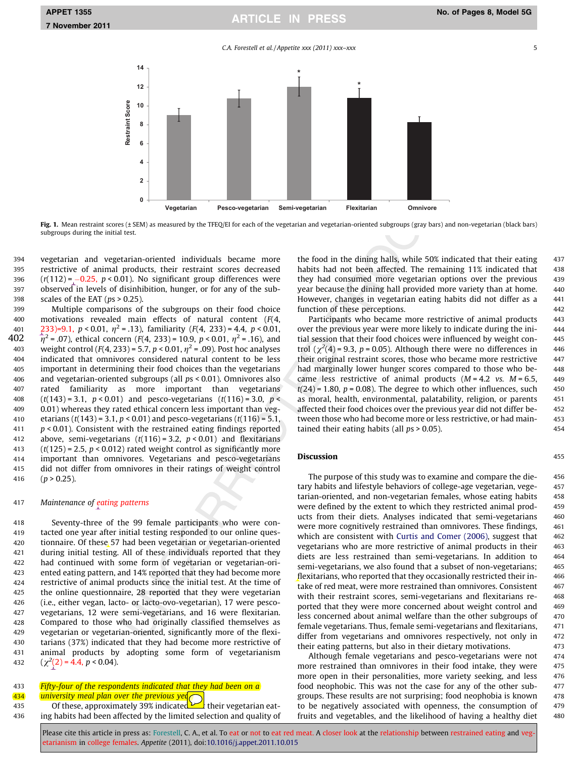C.A. Forestell et al. / Appetite xxx (2011) xxx-xxx 5



Fig. 1. Mean restraint scores (± SEM) as measured by the TFEQ/EI for each of the vegetarian and vegetarian-oriented subgroups (gray bars) and non-vegetarian (black bars) subgroups during the initial test.

 vegetarian and vegetarian-oriented individuals became more restrictive of animal products, their restraint scores decreased  $(r(112) = -0.25, p < 0.01)$ . No significant group differences were observed in levels of disinhibition, hunger, or for any of the sub-398 scales of the EAT ( $ps > 0.25$ ).

**Restraint Score**

 Multiple comparisons of the subgroups on their food choice motivations revealed main effects of natural content (F(4, 401 233)=9.1,  $p < 0.01$ ,  $\eta^2 = .13$ ), familiarity ( $F(4, 233) = 4.4$ ,  $p < 0.01$ ,  $\bar{\gamma}^2$  = .07), ethical concern (F(4, 233) = 10.9, p < 0.01,  $\eta^2$  = .16), and 403 weight control ( $F(4, 233) = 5.7$ ,  $p < 0.01$ ,  $\eta^2 = .09$ ). Post hoc analyses indicated that omnivores considered natural content to be less important in determining their food choices than the vegetarians and vegetarian-oriented subgroups (all ps < 0.01). Omnivores also rated familiarity as more important than vegetarians 408 (t(143) = 3.1,  $p < 0.01$ ) and pesco-vegetarians (t(116) = 3.0,  $p <$  0.01) whereas they rated ethical concern less important than veg-410 etarians  $(t(143) = 3.1, p < 0.01)$  and pesco-vegetarians  $(t(116) = 5.1,$  $p < 0.01$ ). Consistent with the restrained eating findings reported 412 above, semi-vegetarians  $(t(116) = 3.2, p < 0.01)$  and flexitarians  $(t(125) = 2.5, p < 0.012)$  rated weight control as significantly more important than omnivores. Vegetarians and pesco-vegetarians did not differ from omnivores in their ratings of weight control  $(p > 0.25)$ .

#### 417 Maintenance of eating patterns

 Seventy-three of the 99 female participants who were con- tacted one year after initial testing responded to our online ques- tionnaire. Of these 57 had been vegetarian or vegetarian-oriented during initial testing. All of these individuals reported that they had continued with some form of vegetarian or vegetarian-ori- ented eating pattern, and 14% reported that they had become more restrictive of animal products since the initial test. At the time of the online questionnaire, 28 reported that they were vegetarian (i.e., either vegan, lacto- or lacto-ovo-vegetarian), 17 were pesco- vegetarians, 12 were semi-vegetarians, and 16 were flexitarian. Compared to those who had originally classified themselves as vegetarian or vegetarian-oriented, significantly more of the flexi- tarians (37%) indicated that they had become more restrictive of animal products by adopting some form of vegetarianism  $(\chi^2(2) = 4.4, p < 0.04).$ 

433 Fifty-four of the respondents indicated that they had been on a 434 **university meal plan over the previous yed** 

435 Of these, approximately 39% indicated their vegetarian eat-436 ing habits had been affected by the limited selection and quality of the food in the dining halls, while 50% indicated that their eating 437 habits had not been affected. The remaining 11% indicated that 438 they had consumed more vegetarian options over the previous 439 year because the dining hall provided more variety than at home. 440 However, changes in vegetarian eating habits did not differ as a 441 function of these perceptions. 442

Participants who became more restrictive of animal products 443 over the previous year were more likely to indicate during the ini- 444 tial session that their food choices were influenced by weight con- 445 trol  $(\chi^2(4) = 9.3, p = 0.05)$ . Although there were no differences in 446 their original restraint scores, those who became more restrictive 447 had marginally lower hunger scores compared to those who be- 448 came less restrictive of animal products  $(M = 4.2 \text{ vs. } M = 6.5, 449)$  $t(24) = 1.80$ ,  $p = 0.08$ ). The degree to which other influences, such 450 as moral, health, environmental, palatability, religion, or parents 451 affected their food choices over the previous year did not differ be- 452 tween those who had become more or less restrictive, or had main- 453 tained their eating habits (all  $ps > 0.05$ ).  $454$ 

# **Discussion** 455

The purpose of this study was to examine and compare the die- 456 tary habits and lifestyle behaviors of college-age vegetarian, vege- 457 tarian-oriented, and non-vegetarian females, whose eating habits 458 were defined by the extent to which they restricted animal prod-<br>459 ucts from their diets. Analyses indicated that semi-vegetarians 460 were more cognitively restrained than omnivores. These findings, 461 which are consistent with Curtis and Comer (2006), suggest that 462 vegetarians who are more restrictive of animal products in their 463 diets are less restrained than semi-vegetarians. In addition to 464 semi-vegetarians, we also found that a subset of non-vegetarians; 465 flexitarians, who reported that they occasionally restricted their in- 466 take of red meat, were more restrained than omnivores. Consistent 467 with their restraint scores, semi-vegetarians and flexitarians re-<br>468 ported that they were more concerned about weight control and 469 less concerned about animal welfare than the other subgroups of 470 female vegetarians. Thus, female semi-vegetarians and flexitarians, 471 differ from vegetarians and omnivores respectively, not only in 472 their eating patterns, but also in their dietary motivations. 473

Although female vegetarians and pesco-vegetarians were not 474 more restrained than omnivores in their food intake, they were 475 more open in their personalities, more variety seeking, and less 476 food neophobic. This was not the case for any of the other sub- 477 groups. These results are not surprising; food neophobia is known 478 to be negatively associated with openness, the consumption of 479 fruits and vegetables, and the likelihood of having a healthy diet 480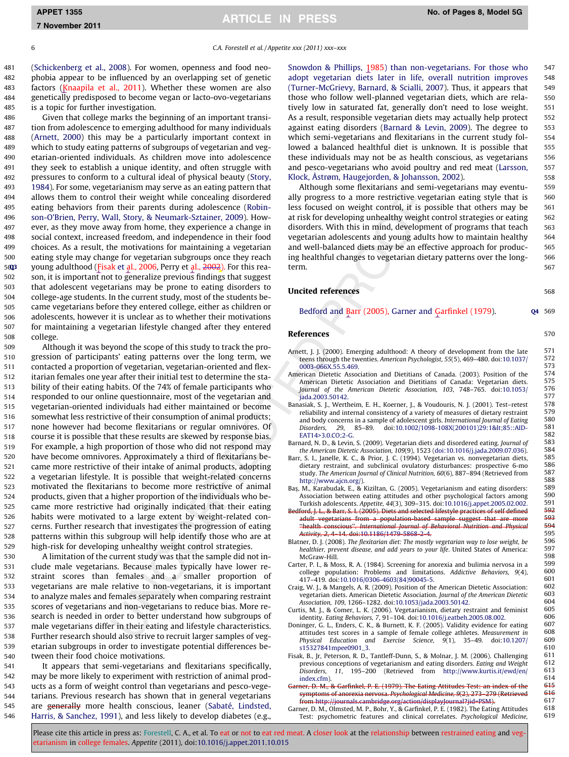7 November 2011

6 C.A. Forestell et al. / Appetite xxx (2011) xxx–xxx

 (Schickenberg et al., 2008). For women, openness and food neo- phobia appear to be influenced by an overlapping set of genetic factors (Knaapila et al., 2011). Whether these women are also genetically predisposed to become vegan or lacto-ovo-vegetarians is a topic for further investigation.

 Given that college marks the beginning of an important transi- tion from adolescence to emerging adulthood for many individuals (Arnett, 2000) this may be a particularly important context in which to study eating patterns of subgroups of vegetarian and veg- etarian-oriented individuals. As children move into adolescence they seek to establish a unique identity, and often struggle with pressures to conform to a cultural ideal of physical beauty (Story, 1984). For some, vegetarianism may serve as an eating pattern that allows them to control their weight while concealing disordered eating behaviors from their parents during adolescence (Robin- son-O'Brien, Perry, Wall, Story, & Neumark-Sztainer, 2009). How- ever, as they move away from home, they experience a change in social context, increased freedom, and independence in their food choices. As a result, the motivations for maintaining a vegetarian eating style may change for vegetarian subgroups once they reach young adulthood (Fisak et al., 2006, Perry et al., 2002). For this rea- son, it is important not to generalize previous findings that suggest that adolescent vegetarians may be prone to eating disorders to college-age students. In the current study, most of the students be- came vegetarians before they entered college, either as children or adolescents, however it is unclear as to whether their motivations for maintaining a vegetarian lifestyle changed after they entered 508 college. Q3

 Although it was beyond the scope of this study to track the pro- gression of participants' eating patterns over the long term, we contacted a proportion of vegetarian, vegetarian-oriented and flex- itarian females one year after their initial test to determine the sta- bility of their eating habits. Of the 74% of female participants who responded to our online questionnaire, most of the vegetarian and vegetarian-oriented individuals had either maintained or become 516 somewhat less restrictive of their consumption of animal products; none however had become flexitarians or regular omnivores. Of course it is possible that these results are skewed by response bias. For example, a high proportion of those who did not respond may have become omnivores. Approximately a third of flexitarians be- came more restrictive of their intake of animal products, adopting a vegetarian lifestyle. It is possible that weight-related concerns motivated the flexitarians to become more restrictive of animal products, given that a higher proportion of the individuals who be- came more restrictive had originally indicated that their eating habits were motivated to a large extent by weight-related con- cerns. Further research that investigates the progression of eating patterns within this subgroup will help identify those who are at high-risk for developing unhealthy weight control strategies.

 A limitation of the current study was that the sample did not in- clude male vegetarians. Because males typically have lower re- straint scores than females and a smaller proportion of vegetarians are male relative to non-vegetarians, it is important to analyze males and females separately when comparing restraint scores of vegetarians and non-vegetarians to reduce bias. More re- search is needed in order to better understand how subgroups of male vegetarians differ in their eating and lifestyle characteristics. Further research should also strive to recruit larger samples of veg- etarian subgroups in order to investigate potential differences be-tween their food choice motivations.

 It appears that semi-vegetarians and flexitarians specifically, may be more likely to experiment with restriction of animal prod- ucts as a form of weight control than vegetarians and pesco-vege- tarians. Previous research has shown that in general vegetarians 545 are generally more health conscious, leaner (Sabaté, Lindsted, Harris, & Sanchez, 1991), and less likely to develop diabetes (e.g.,

Snowdon & Phillips, 1985) than non-vegetarians. For those who 547 adopt vegetarian diets later in life, overall nutrition improves 548 (Turner-McGrievy, Barnard, & Scialli, 2007). Thus, it appears that 549 those who follow well-planned vegetarian diets, which are rela- 550 tively low in saturated fat, generally don't need to lose weight. 551 As a result, responsible vegetarian diets may actually help protect 552 against eating disorders (Barnard & Levin, 2009). The degree to 553 which semi-vegetarians and flexitarians in the current study fol-<br>554 lowed a balanced healthful diet is unknown. It is possible that 555 these individuals may not be as health conscious, as vegetarians 556 and pesco-vegetarians who avoid poultry and red meat (Larsson, 557 Klock, Åstrøm, Haugejorden, & Johansson, 2002). 558

Although some flexitarians and semi-vegetarians may eventu-<br>559 ally progress to a more restrictive vegetarian eating style that is 560 less focused on weight control, it is possible that others may be 561 at risk for developing unhealthy weight control strategies or eating 562 disorders. With this in mind, development of programs that teach 563 vegetarian adolescents and young adults how to maintain healthy 564 and well-balanced diets may be an effective approach for produc- 565 ing healthful changes to vegetarian dietary patterns over the long- 566 term. 567

Bedford and Barr (2005), Garner and Garfinkel (1979). 04 569

# **References** 570

- Arnett, J. J. (2000). Emerging adulthood: A theory of development from the late 571 teens through the twenties *American Psychologist 55*(5) 469–480 doi:10.1037/ 572 teens through the twenties. American Psychologist, 55(5), 469–480. doi:10.1037/ 572<br>673 573 0003-066X.55.5.469.<br>173 - erican Dietetic Association and Dietitians of Canada (2003) Position of the
- American Dietetic Association and Dietitians of Canada. (2003). Position of the 574<br>American Dietetic Association and Dietitians of Canada: Vegetarian diets 575 American Dietetic Association and Dietitians of Canada: Vegetarian diets. 575<br>Journal of the American Dietetic Association 103 748–765 doi:10.1053/ 576 Journal of the American Dietetic Association, 103, 748–765. doi:10.1053/ 576 jada.2003.50142.<br>1951 - S. L. Wertheim, E. H. Koerner, J. & Voudouris, N. J. (2001). Test-retest.
- Banasiak, S. J., Wertheim, E. H., Koerner, J., & Voudouris, N. J. (2001). Test–retest 578 reliability and internal consistency of a variety of measures of dietary restraint 579<br>and body concerns in a sample of adolescent girls International Journal of Eating 580 and body concerns in a sample of adolescent girls. International Journal of Eating  $580$ <br>Disorders  $29 - 85-89$  doi:10.1002/1098-108X/200101)29:18 lt:85::41D Disorders, 29, 85–89. doi:10.1002/1098-108X(200101)29:1<85::AID- 581 EAT14>3.0.CO;2-G. 582
- Barnard, N. D., & Levin, S. (2009). Vegetarian diets and disordered eating. Journal of 583<br>the American Dietetic Association, 100(9), 1523 (doi:10, 1016/i i.d., 2009.07.036) 584 the American Dietetic Association, 109(9), 1523 (doi:10.1016/j.jada.2009.07.036). 584
- Barr, S. I., Janelle, K. C., & Prior, J. C. (1994). Vegetarian vs. nonvegetarian diets, 585 dietary restraint, and subclinical ovulatory disturbances: prospective 6-mo 586<br>study The American Journal of Clinical Nutrition 60(6) 887-894 (Retrieved from 587 study. The American Journal of Clinical Nutrition, 60(6), 887–894 (Retrieved from 587 http://www.ajcn.org/). 588<br>M. Karabudak E. & Kiziltan C. (2005). Vegetarianism and eating disorders: 589
- Baş, M., Karabudak, E., & Kiziltan, G. (2005). Vegetarianism and eating disorders: 589 Association between eating attitudes and other psychological factors among 590<br>Turkish adolescents Annetite 44(3) 309-315 doi:10.1016/i annet 2005.02.002 591 Turkish adolescents. Appetite,  $44(3)$ ,  $309-315$ .  $\frac{\text{doi:10.1016}}{\text{float.11}}$ ,  $\frac{\text{30.02.002}}{\text{float.11}}$
- Bedford, J. L., & Barr, S. I. (2005). Diets and selected lifestyle practices of self defined 592<br>adult vegetarians, from a nonulation-based, sample, suggest, that are more 593 adult vegetarians from a population-based sample suggest that are more 593 ''health conscious''. International Journal of Behavioral Nutrition and Physical 594 Activity, 2, 4–14. doi:10.1186/1479–5868–2–4.<br>Figure D. L. (2008). The flexitation dist: The mostly verstation way to lose weight, be. 596
- Blatner, D. J. (2008). The flexitarian diet: The mostly vegetarian way to lose weight, be 596<br>healthier, prevent disease, and add wears to your life United States of America: 597 healthier, prevent disease, and add years to your life. United States of America: 597 McGraw-Hill.<br>1998 - Arr P. J. & Moss R. A. (1984). Screening for anorexia and bulimia nervosa in a
- Carter, P. I., & Moss, R. A. (1984). Screening for anorexia and bulimia nervosa in a 599<br>
college population: Problems and limitations *Addictive Rehaviors*  $9(4)$  600 college population: Problems and limitations. Addictive Behaviors,  $9(4)$ ,  $600$ <br> $417-419$ ,  $60i$ ;  $10.1016/0306-4603(84)90045-5$ 417–419. doi:10.1016/0306-4603(84)90045-5. 601
- Craig, W. J., & Mangels, A. R. (2009). Position of the American Dietetic Association: 602 vegetarian diets. American Dietetic Association. Journal of the American Dietetic 603<br>Association, 109, 1266–1282, doi:10,1053/i2d2,2003,50142 Association, 109, 1266–1282. doi:10.1053/jada.2003.50142. 604<br>tis M. J. & Comer J. K. (2006). Vegetarianism dietary restraint and feminist 605
- Curtis, M. J., & Comer, L. K. (2006). Vegetarianism, dietary restraint and feminist 605 identity. Eating Behaviors, 7, 91–104. doi:10.1016/j.eatbeh.2005.08.002. 606<br>hinger C. J. Enders C. K. & Burnett K. F. (2005). Validity evidence for eating 607
- Doninger, G. L., Enders, C. K., & Burnett, K. F. (2005). Validity evidence for eating 607 attitudes test scores in a sample of female college athletes. Measurement in 608<br>  $\frac{1}{2}P_{\text{object}} = \frac{1}{2}P_{\text{object}} = \frac{1}{2}P_{\text{object}} = \frac{1}{2}P_{\text{object}} = \frac{1}{2}P_{\text{object}} = \frac{1}{2}P_{\text{object}} = \frac{1}{2}P_{\text{object}} = \frac{1}{2}P_{\text{object}} = \frac{1}{2}P_{\text{object}} = \frac{$ Physical Education and Exercise Science, 9(1), 35–49. doi:10.1207/ 609 s15327841mpee0901\_3. 610<br>ht B Jr Peterson B D, Tantleff-Dunn S, & Molnar J M (2006) Challenging 611
- Fisak, B., Jr, Peterson, R. D., Tantleff-Dunn, S., & Molnar, J. M. (2006). Challenging 611<br>previous conceptions of vegetarianism and eating disorders. *Eating and Weight* 612 previous conceptions of vegetarianism and eating disorders. Eating and Weight 612<br>Disorders 11 195–200 (Retrieved from http://www.kurtis.it/ewd/en/ 613 Disorders, 11, 195–200 (Retrieved from http://www.kurtis.it/ewd/en/ 613 index.cfm). 614<br>mar D. M. & Carfinkel, P. E. (1979). The Eating Attitudes Test: an index of the 615
- Garner, D. M., & Garfinkel, P. E. (1979). The Eating Attitudes Test: an index of the 615 symptoms of anorexia nervosa. Psychological Medicine, 9(2), 273–279 (Retrieved 616<br>from http://journals.cambridge.org/action/display/ournal2iid=PSM). 617 **from http://journals.cambridge.org/action/displayJournal?jid=PSM).** 617<br>ner D M Olmsted M P Bohr Y & Garfinkel P F (1982) The Eating Attitudes 618
- Garner, D. M., Olmsted, M. P., Bohr, Y., & Garfinkel, P. E. (1982). The Eating Attitudes 618<br>
Test: psychometric features and clinical correlates *Psychological Medicine* 619 Test: psychometric features and clinical correlates. Psychological Medicine,